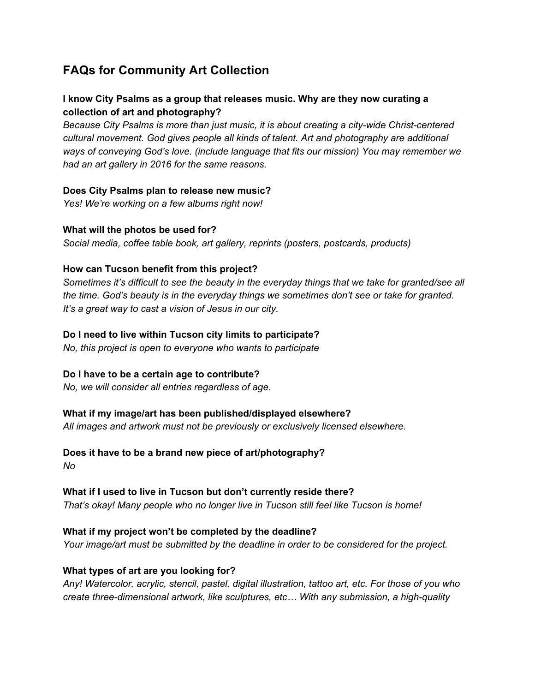# **FAQs for Community Art Collection**

# **I know City Psalms as a group that releases music. Why are they now curating a collection of art and photography?**

*Because City Psalms is more than just music, it is about creating a city-wide Christ-centered cultural movement. God gives people all kinds of talent. Art and photography are additional ways of conveying God's love. (include language that fits our mission) You may remember we had an art gallery in 2016 for the same reasons.*

#### **Does City Psalms plan to release new music?**

*Yes! We're working on a few albums right now!*

#### **What will the photos be used for?**

*Social media, coffee table book, art gallery, reprints (posters, postcards, products)*

### **How can Tucson benefit from this project?**

*Sometimes it's difficult to see the beauty in the everyday things that we take for granted/see all the time. God's beauty is in the everyday things we sometimes don't see or take for granted. It's a great way to cast a vision of Jesus in our city.*

### **Do I need to live within Tucson city limits to participate?**

*No, this project is open to everyone who wants to participate*

### **Do I have to be a certain age to contribute?**

*No, we will consider all entries regardless of age.*

### **What if my image/art has been published/displayed elsewhere?**

*All images and artwork must not be previously or exclusively licensed elsewhere.*

# **Does it have to be a brand new piece of art/photography?**

*No*

### **What if I used to live in Tucson but don't currently reside there?**

*That's okay! Many people who no longer live in Tucson still feel like Tucson is home!*

### **What if my project won't be completed by the deadline?**

*Your image/art must be submitted by the deadline in order to be considered for the project.*

### **What types of art are you looking for?**

*Any! Watercolor, acrylic, stencil, pastel, digital illustration, tattoo art, etc. For those of you who create three-dimensional artwork, like sculptures, etc… With any submission, a high-quality*